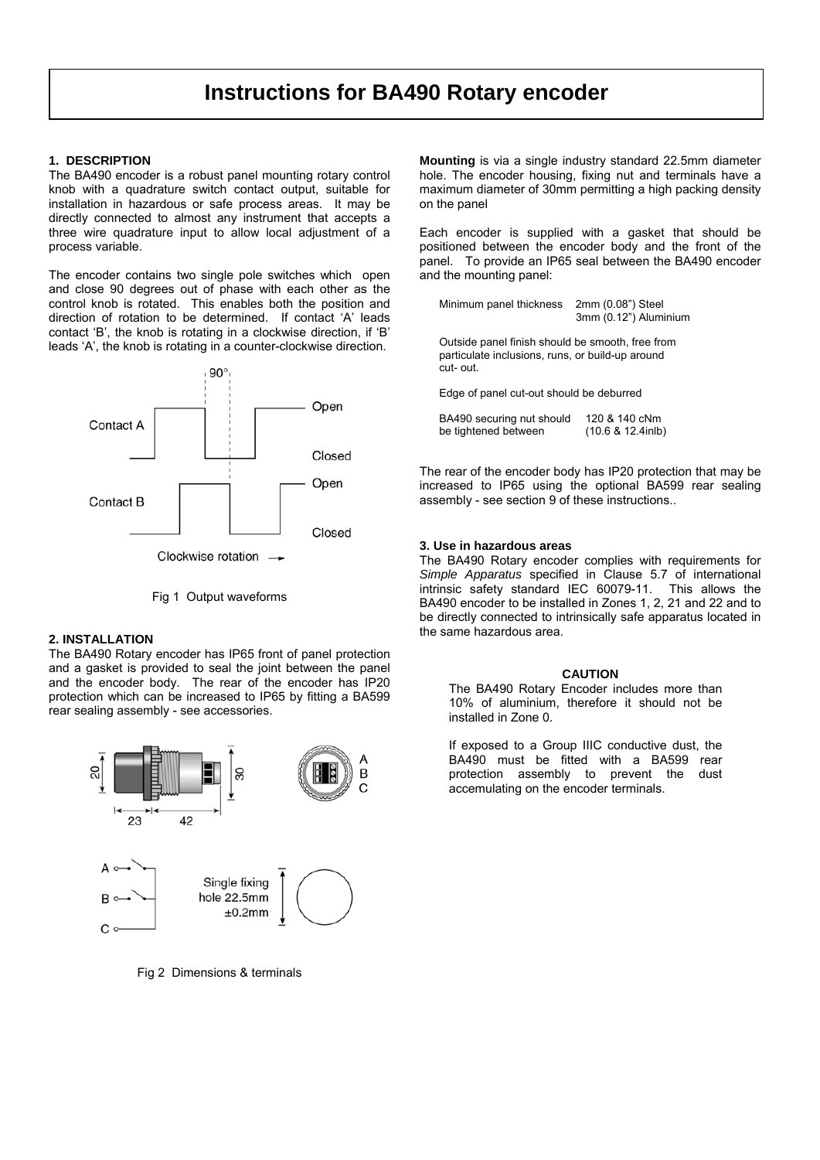# **Instructions for BA490 Rotary encoder**

## **1. DESCRIPTION**

The BA490 encoder is a robust panel mounting rotary control knob with a quadrature switch contact output, suitable for installation in hazardous or safe process areas. It may be directly connected to almost any instrument that accepts a three wire quadrature input to allow local adjustment of a process variable.

The encoder contains two single pole switches which open and close 90 degrees out of phase with each other as the control knob is rotated. This enables both the position and direction of rotation to be determined. If contact 'A' leads contact 'B', the knob is rotating in a clockwise direction, if 'B' leads 'A', the knob is rotating in a counter-clockwise direction.



Fig 1 Output waveforms

# **2. INSTALLATION**

The BA490 Rotary encoder has IP65 front of panel protection and a gasket is provided to seal the joint between the panel and the encoder body. The rear of the encoder has IP20 protection which can be increased to IP65 by fitting a BA599 rear sealing assembly - see accessories.



Fig 2 Dimensions & terminals

**Mounting** is via a single industry standard 22.5mm diameter hole. The encoder housing, fixing nut and terminals have a maximum diameter of 30mm permitting a high packing density on the panel

Each encoder is supplied with a gasket that should be positioned between the encoder body and the front of the panel. To provide an IP65 seal between the BA490 encoder and the mounting panel:

Minimum panel thickness 2mm (0.08") Steel 3mm (0.12") Aluminium

 Outside panel finish should be smooth, free from particulate inclusions, runs, or build-up around cut- out.

Edge of panel cut-out should be deburred

 BA490 securing nut should 120 & 140 cNm be tightened between (10.6 & 12.4inlb)

The rear of the encoder body has IP20 protection that may be increased to IP65 using the optional BA599 rear sealing assembly - see section 9 of these instructions..

#### **3. Use in hazardous areas**

The BA490 Rotary encoder complies with requirements for *Simple Apparatus* specified in Clause 5.7 of international intrinsic safety standard IEC 60079-11. This allows the BA490 encoder to be installed in Zones 1, 2, 21 and 22 and to be directly connected to intrinsically safe apparatus located in the same hazardous area.

#### **CAUTION**

The BA490 Rotary Encoder includes more than 10% of aluminium, therefore it should not be installed in Zone 0.

If exposed to a Group IIIC conductive dust, the BA490 must be fitted with a BA599 rear protection assembly to prevent the dust accemulating on the encoder terminals.